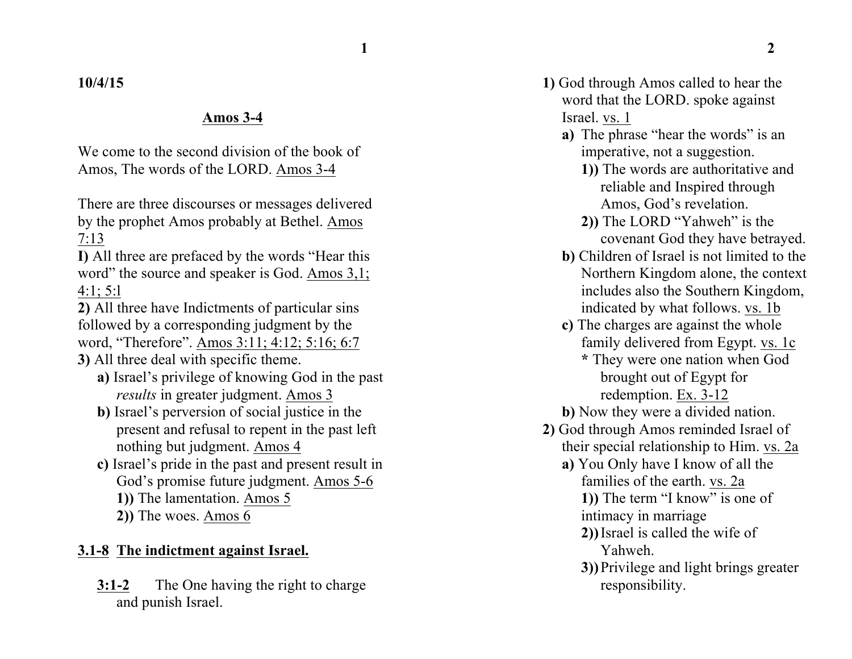### **10/4/15**

#### **Amos 3-4**

We come to the second division of the book of Amos, The words of the LORD. Amos 3-4

There are three discourses or messages delivered by the prophet Amos probably at Bethel. Amos 7:13

**I)** All three are prefaced by the words "Hear this word" the source and speaker is God. Amos 3,1; 4:1; 5:l

**2)** All three have Indictments of particular sins followed by a corresponding judgment by the word, "Therefore". Amos 3:11; 4:12; 5:16; 6:7

**3)** All three deal with specific theme.

- **a)** Israel's privilege of knowing God in the past *results* in greater judgment. Amos 3
- **b)** Israel's perversion of social justice in the present and refusal to repent in the past left nothing but judgment. Amos 4
- **c)** Israel's pride in the past and present result in God's promise future judgment. Amos 5-6
	- **1))** The lamentation. Amos 5
	- **2))** The woes. Amos 6

#### **3.1-8 The indictment against Israel.**

**3:1-2** The One having the right to charge and punish Israel.

- **1)** God through Amos called to hear the word that the LORD. spoke against Israel. vs. 1
	- **a)** The phrase "hear the words" is an imperative, not a suggestion.
		- **1))** The words are authoritative and reliable and Inspired through Amos, God's revelation.
		- **2))** The LORD "Yahweh" is the covenant God they have betrayed.
	- **b)** Children of Israel is not limited to the Northern Kingdom alone, the context includes also the Southern Kingdom, indicated by what follows. vs. 1b
	- **c)** The charges are against the whole family delivered from Egypt. vs. 1c
		- **\*** They were one nation when God brought out of Egypt for redemption. Ex. 3-12
	- **b)** Now they were a divided nation.
- **2)** God through Amos reminded Israel of their special relationship to Him. vs. 2a
	- **a)** You Only have I know of all the families of the earth. vs. 2a

**1))** The term "I know" is one of intimacy in marriage

- **2))**Israel is called the wife of Yahweh.
- **3))**Privilege and light brings greater responsibility.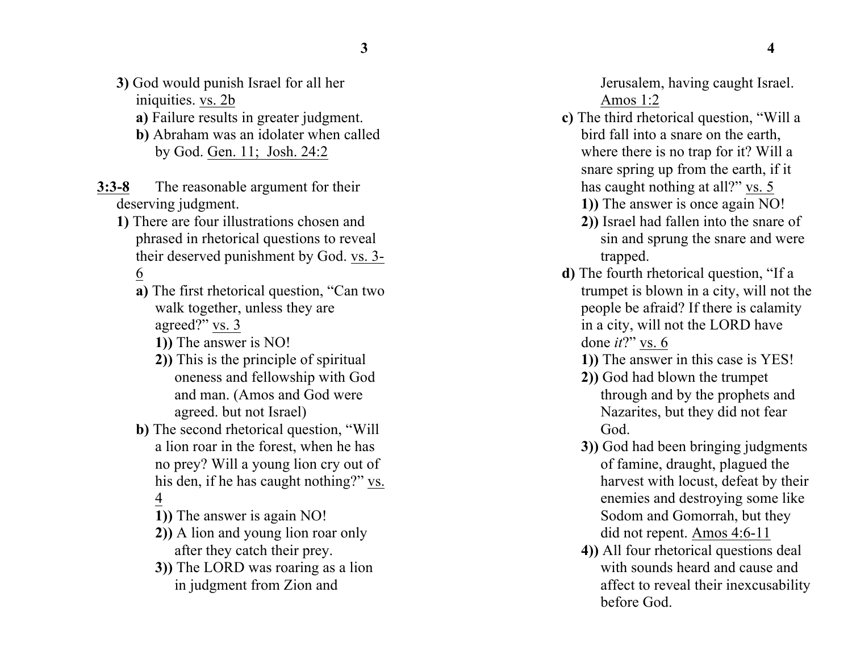- **3)** God would punish Israel for all her iniquities. vs. 2b
	- **a)** Failure results in greater judgment.
	- **b)** Abraham was an idolater when called by God. <u>Gen. 11; Josh. 24:2</u>
- **3:3 - 8** The reasonable argument for their deserving judgment.
	- **1)** There are four illustrations chosen and phrased in rhetorical questions to reveal their deserved punishment by God. vs. 3-6
		- **a)** The first rhetorical question, "Can two walk together, unless they are agreed?" vs. 3
			- **1))** The answer is NO!
			- **2))** This is the principle of spiritual oneness and fellowship with God and man. (Amos and God were agreed . but not Israel)
		- **b)** The second rhetorical question, "Will a lion roar in the forest, when he has no prey? Will a young lion cry out of his den, if he has caught nothing?"  $vs.$  4</u>
			- **1))** The answer is again NO!
			- **2))** A lion and young lion roar only after they catch their prey.
			- **3))** The LORD was roaring as a lion in judgment from Zion and

Jerusalem, having caught Israel. Amos 1:2

**c)** The third rhetorical question, "Will a bird fall into a snare on the earth, where there is no trap for it? Will a snare spring up from the earth, if it has caught nothing at all?" vs. 5

**1))** The answer is once again NO!

- **2))** Israel had fallen into the snare of sin and sprung the snare and were trapped.
- **d)** The fourth rhetorical question, "If a trumpet is blown in a city, will not the people be afraid? If there is calamity in a city, will not the LORD have done *it* ?" vs. 6

**1))** The answer in this case is YES!

- **2))** God had blown the trumpet through and by the prophets and Nazarites, but they did not fear God.
- **3))** God had been bringing judgments of famine, draught, plagued the harvest with locust, defeat by their enemies and destroying some like Sodom and Gomorrah, but they did not repent. Amos 4:6 -11
- **4))** All four rhetorical questions deal with sound s heard and cause and affect to reveal their inexcusability before God.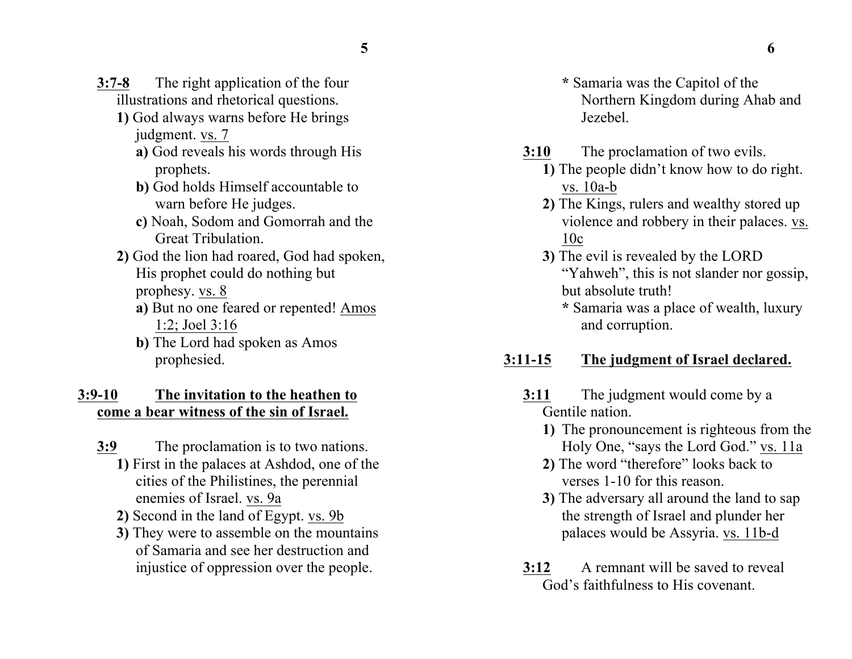- **3:7-8** The right application of the four illustrations and rhetorical questions.
	- **1)** God always warns before He brings judgment. vs. 7
		- **a)** God reveals his words through His prophets.
		- **b)** God holds Himself accountable to warn before He judges.
		- **c)** Noah, Sodom and Gomorrah and the Great Tribulation.
	- **2)** God the lion had roared, God had spoken, His prophet could do nothing but prophesy. vs. 8
		- **a)** But no one feared or repented! Amos 1:2; Joel 3:16
		- **b)** The Lord had spoken as Amos prophesied.

### **3:9-10 The invitation to the heathen to come a bear witness of the sin of Israel.**

- **3:9** The proclamation is to two nations.
	- **1)** First in the palaces at Ashdod, one of the cities of the Philistines, the perennial enemies of Israel. vs. 9a
	- **2)** Second in the land of Egypt. vs. 9b
	- **3)** They were to assemble on the mountains of Samaria and see her destruction and injustice of oppression over the people.
- **\*** Samaria was the Capitol of the Northern Kingdom during Ahab and Jezebel.
- **3:10** The proclamation of two evils.
	- **1)** The people didn't know how to do right. vs. 10a-b
	- **2)** The Kings, rulers and wealthy stored up violence and robbery in their palaces. vs. 10c
	- **3)** The evil is revealed by the LORD "Yahweh", this is not slander nor gossip, but absolute truth!
		- **\*** Samaria was a place of wealth, luxury and corruption.

# **3:11-15 The judgment of Israel declared.**

- **3:11** The judgment would come by a Gentile nation.
	- **1)** The pronouncement is righteous from the Holy One, "says the Lord God." vs. 11a
	- **2)** The word "therefore" looks back to verses 1-10 for this reason.
	- **3)** The adversary all around the land to sap the strength of Israel and plunder her palaces would be Assyria. vs. 11b-d
- **3:12** A remnant will be saved to reveal God's faithfulness to His covenant.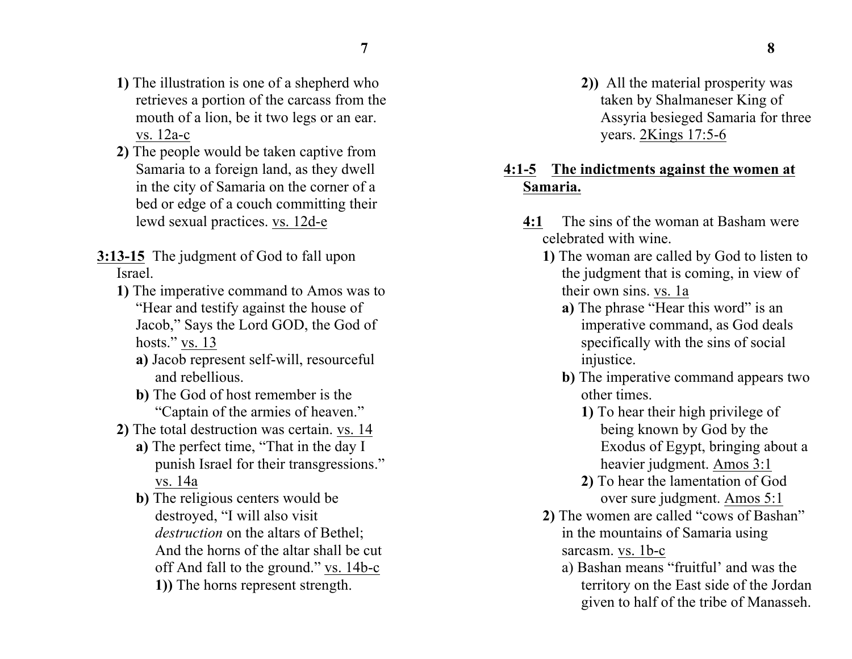- **1)** The illustration is one of a shepherd who retrieves a portion of the carcass from the mouth of a lion, be it two legs or an ear. vs. 12a-c
- **2)** The people would be taken captive from Samaria to a foreign land, as they dwell in the city of Samaria on the corner of a bed or edge of a couch committing their lewd sexual practices. vs. 12d-e
- **3:13-15** The judgment of God to fall upon Israel.
	- **1)** The imperative command to Amos was to "Hear and testify against the house of Jacob," Says the Lord GOD, the God of hosts." vs. 13
		- **a)** Jacob represent self-will, resourceful and rebellious.
		- **b)** The God of host remember is the "Captain of the armies of heaven."
	- **2)** The total destruction was certain. vs. 14
		- **a)** The perfect time, "That in the day I punish Israel for their transgressions." vs. 14a
		- **b)** The religious centers would be destroyed, "I will also visit *destruction* on the altars of Bethel; And the horns of the altar shall be cut off And fall to the ground." vs. 14b-c **1))** The horns represent strength.

**2))** All the material prosperity was taken by Shalmaneser King of Assyria besieged Samaria for three years. 2Kings 17:5-6

### **4:1-5 The indictments against the women at Samaria.**

- **4:1** The sins of the woman at Basham were celebrated with wine.
	- **1)** The woman are called by God to listen to the judgment that is coming, in view of their own sins. vs. 1a
		- **a)** The phrase "Hear this word" is an imperative command, as God deals specifically with the sins of social injustice.
		- **b)** The imperative command appears two other times.
			- **1)** To hear their high privilege of being known by God by the Exodus of Egypt, bringing about a heavier judgment. Amos 3:1
			- **2)** To hear the lamentation of God over sure judgment. Amos 5:1
	- **2)** The women are called "cows of Bashan" in the mountains of Samaria using sarcasm. vs. 1b-c
		- a) Bashan means "fruitful' and was the territory on the East side of the Jordan given to half of the tribe of Manasseh.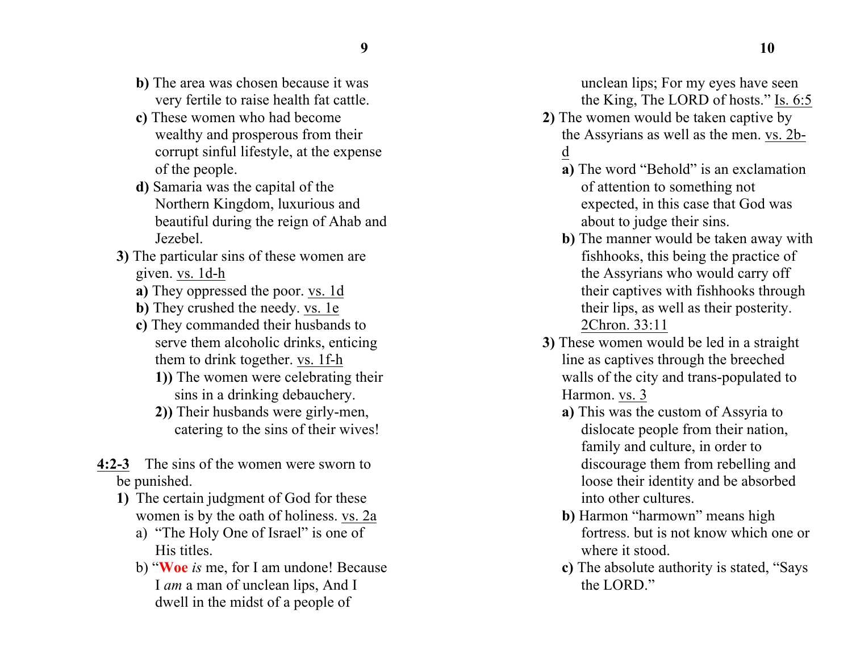- **b)** The area was chosen because it was very fertile to raise health fat cattle.
- **c)** These women who had become wealthy and prosperous from their corrupt sinful lifestyle, at the expense of the people.
- **d)** Samaria was the capital of the Northern Kingdom, luxurious and beautiful during the reign of Ahab and Jezebel.
- **3)** The particular sins of these women are given. vs. 1d-h
	- **a)** They oppressed the poor. vs. 1d
	- **b)** They crushed the needy. vs. 1e
	- **c)** They commanded their husbands to serve them alcoholic drinks, enticing them to drink together. vs. 1f-h
		- **1))** The women were celebrating their sins in a drinking debauchery.
		- **2))** Their husbands were girly-men, catering to the sins of their wives!
- **4:2-3** The sins of the women were sworn to be punished.
	- **1)** The certain judgment of God for these women is by the oath of holiness. vs. 2a
		- a) "The Holy One of Israel" is one of His titles.
		- b) "**Woe** *is* me, for I am undone! Because I *am* a man of unclean lips, And I dwell in the midst of a people of

unclean lips; For my eyes have seen the King, The LORD of hosts." Is. 6:5

- **2)** The women would be taken captive by the Assyrians as well as the men. vs. 2bd
	- **a)** The word "Behold" is an exclamation of attention to something not expected, in this case that God was about to judge their sins.
	- **b)** The manner would be taken away with fishhooks, this being the practice of the Assyrians who would carry off their captives with fishhooks through their lips, as well as their posterity. 2Chron. 33:11
- **3)** These women would be led in a straight line as captives through the breeched walls of the city and trans-populated to Harmon. vs. 3
	- **a)** This was the custom of Assyria to dislocate people from their nation, family and culture, in order to discourage them from rebelling and loose their identity and be absorbed into other cultures.
	- **b)** Harmon "harmown" means high fortress. but is not know which one or where it stood.
	- **c)** The absolute authority is stated, "Says the LORD."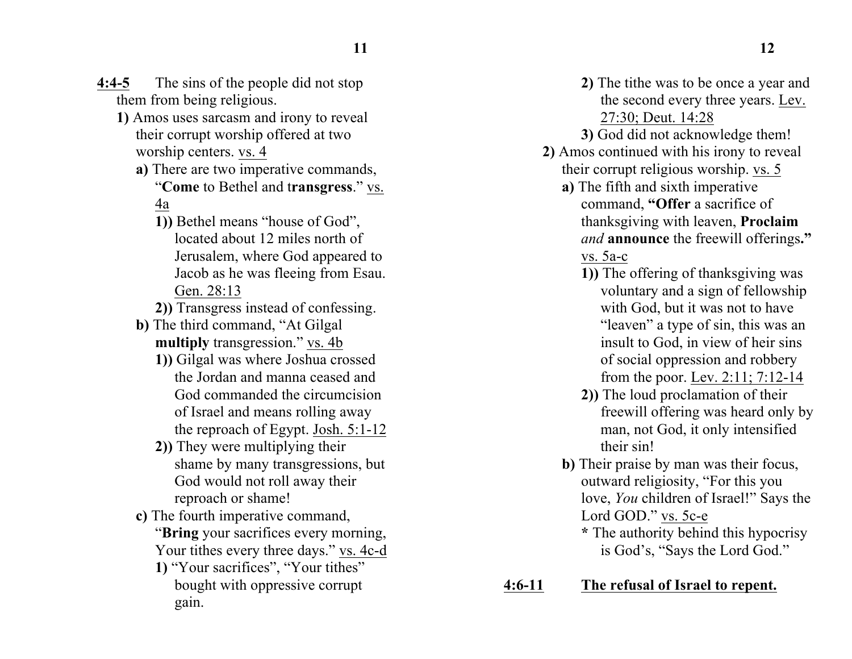- **4:4-5** The sins of the people did not stop them from being religious.
	- **1)** Amos uses sarcasm and irony to reveal their corrupt worship offered at two worship centers. vs. 4
		- **a)** There are two imperative commands, "**Come** to Bethel and t**ransgress**." vs. 4a
			- **1))** Bethel means "house of God", located about 12 miles north of Jerusalem, where God appeared to Jacob as he was fleeing from Esau. Gen. 28:13
			- **2))** Transgress instead of confessing.
		- **b)** The third command, "At Gilgal **multiply** transgression." vs. 4b
			- **1))** Gilgal was where Joshua crossed the Jordan and manna ceased and God commanded the circumcision of Israel and means rolling away the reproach of Egypt. Josh. 5:1-12
			- **2))** They were multiplying their shame by many transgressions, but God would not roll away their reproach or shame!
		- **c)** The fourth imperative command, "**Bring** your sacrifices every morning, Your tithes every three days." vs. 4c-d
			- **1)** "Your sacrifices", "Your tithes" bought with oppressive corrupt gain.
- **2)** The tithe was to be once a year and the second every three years. Lev. 27:30; Deut. 14:28
- **3)** God did not acknowledge them!
- **2)** Amos continued with his irony to reveal their corrupt religious worship. vs. 5
	- **a)** The fifth and sixth imperative command, **"Offer** a sacrifice of thanksgiving with leaven, **Proclaim** *and* **announce** the freewill offerings**."**  vs. 5a-c
		- **1))** The offering of thanksgiving was voluntary and a sign of fellowship with God, but it was not to have "leaven" a type of sin, this was an insult to God, in view of heir sins of social oppression and robbery from the poor. Lev. 2:11; 7:12-14
		- **2))** The loud proclamation of their freewill offering was heard only by man, not God, it only intensified their sin!
	- **b)** Their praise by man was their focus, outward religiosity, "For this you love, *You* children of Israel!" Says the Lord GOD." vs. 5c-e
		- **\*** The authority behind this hypocrisy is God's, "Says the Lord God."
- **4:6-11 The refusal of Israel to repent.**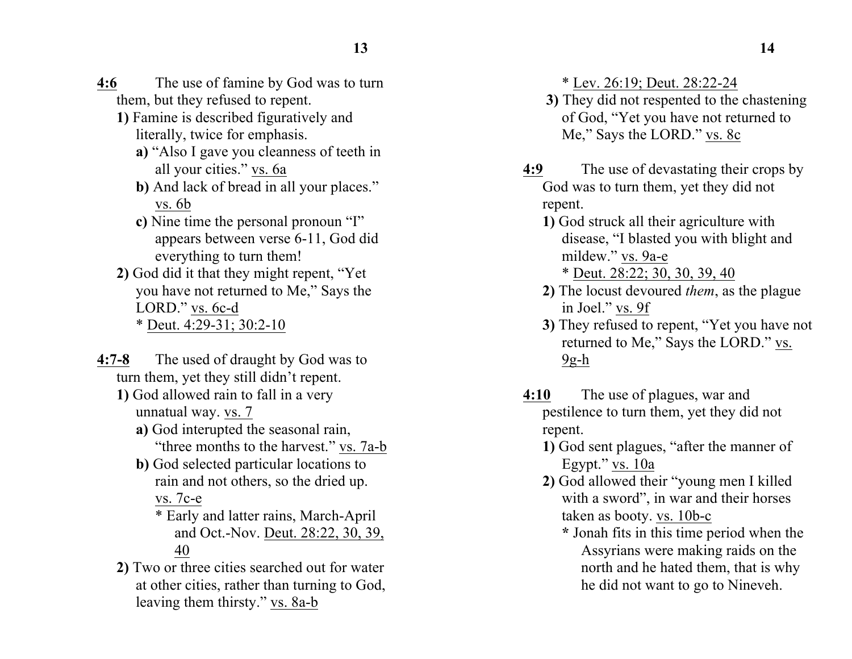- **4:6** The use of famine by God was to turn them, but they refused to repent.
	- **1)** Famine is described figuratively and literally, twice for emphasis.
		- **a)** "Also I gave you cleanness of teeth in all your cities." vs. 6a
		- **b)** And lack of bread in all your places." vs. 6b
		- **c)** Nine time the personal pronoun "I" appears between verse 6-11, God did everything to turn them!
	- **2)** God did it that they might repent, "Yet you have not returned to Me," Says the LORD." vs. 6c-d \* Deut. 4:29-31; 30:2-10
- **4:7-8** The used of draught by God was to turn them, yet they still didn't repent.
	- **1)** God allowed rain to fall in a very unnatual way. vs. 7
		- **a)** God interupted the seasonal rain, "three months to the harvest." vs. 7a-b
		- **b)** God selected particular locations to rain and not others, so the dried up.

vs. 7c-e

- \* Early and latter rains, March-April and Oct.-Nov. Deut. 28:22, 30, 39, 40
- **2)** Two or three cities searched out for water at other cities, rather than turning to God, leaving them thirsty." vs. 8a-b

\* Lev. 26:19; Deut. 28:22-24

- **3)** They did not respented to the chastening of God, "Yet you have not returned to Me," Says the LORD." vs. 8c
- **4:9** The use of devastating their crops by God was to turn them, yet they did not repent.
	- **1)** God struck all their agriculture with disease, "I blasted you with blight and mildew." vs. 9a-e \* Deut. 28:22; 30, 30, 39, 40
	- **2)** The locust devoured *them*, as the plague in Joel." vs. 9f
	- **3)** They refused to repent, "Yet you have not returned to Me," Says the LORD." vs.  $9g-h$
- **4:10** The use of plagues, war and pestilence to turn them, yet they did not repent.
	- **1)** God sent plagues, "after the manner of Egypt." vs. 10a
	- **2)** God allowed their "young men I killed with a sword", in war and their horses taken as booty. vs. 10b-c
		- **\*** Jonah fits in this time period when the Assyrians were making raids on the north and he hated them, that is why he did not want to go to Nineveh.